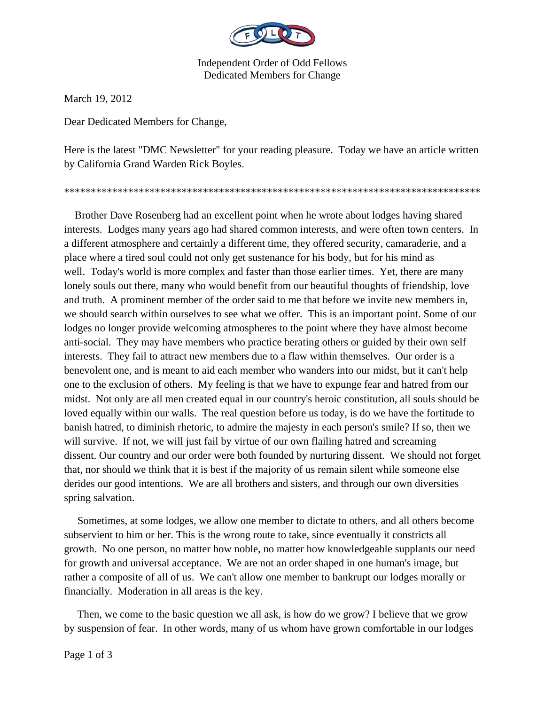

Independent Order of Odd Fellows Dedicated Members for Change

March 19, 2012

Dear Dedicated Members for Change,

Here is the latest "DMC Newsletter" for your reading pleasure. Today we have an article written by California Grand Warden Rick Boyles.

\*\*\*\*\*\*\*\*\*\*\*\*\*\*\*\*\*\*\*\*\*\*\*\*\*\*\*\*\*\*\*\*\*\*\*\*\*\*\*\*\*\*\*\*\*\*\*\*\*\*\*\*\*\*\*\*\*\*\*\*\*\*\*\*\*\*\*\*\*\*\*\*\*\*\*\*\*\*

 Brother Dave Rosenberg had an excellent point when he wrote about lodges having shared interests. Lodges many years ago had shared common interests, and were often town centers. In a different atmosphere and certainly a different time, they offered security, camaraderie, and a place where a tired soul could not only get sustenance for his body, but for his mind as well. Today's world is more complex and faster than those earlier times. Yet, there are many lonely souls out there, many who would benefit from our beautiful thoughts of friendship, love and truth. A prominent member of the order said to me that before we invite new members in, we should search within ourselves to see what we offer. This is an important point. Some of our lodges no longer provide welcoming atmospheres to the point where they have almost become anti-social. They may have members who practice berating others or guided by their own self interests. They fail to attract new members due to a flaw within themselves. Our order is a benevolent one, and is meant to aid each member who wanders into our midst, but it can't help one to the exclusion of others. My feeling is that we have to expunge fear and hatred from our midst. Not only are all men created equal in our country's heroic constitution, all souls should be loved equally within our walls. The real question before us today, is do we have the fortitude to banish hatred, to diminish rhetoric, to admire the majesty in each person's smile? If so, then we will survive. If not, we will just fail by virtue of our own flailing hatred and screaming dissent. Our country and our order were both founded by nurturing dissent. We should not forget that, nor should we think that it is best if the majority of us remain silent while someone else derides our good intentions. We are all brothers and sisters, and through our own diversities spring salvation.

 Sometimes, at some lodges, we allow one member to dictate to others, and all others become subservient to him or her. This is the wrong route to take, since eventually it constricts all growth. No one person, no matter how noble, no matter how knowledgeable supplants our need for growth and universal acceptance. We are not an order shaped in one human's image, but rather a composite of all of us. We can't allow one member to bankrupt our lodges morally or financially. Moderation in all areas is the key.

 Then, we come to the basic question we all ask, is how do we grow? I believe that we grow by suspension of fear. In other words, many of us whom have grown comfortable in our lodges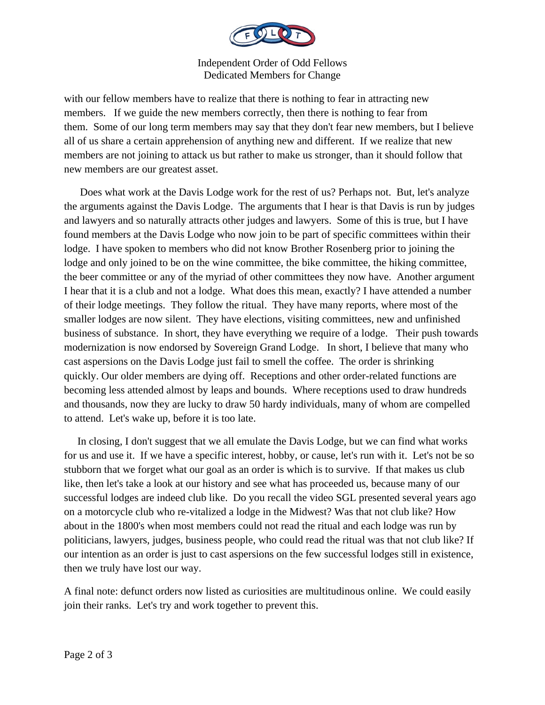

Independent Order of Odd Fellows Dedicated Members for Change

with our fellow members have to realize that there is nothing to fear in attracting new members. If we guide the new members correctly, then there is nothing to fear from them. Some of our long term members may say that they don't fear new members, but I believe all of us share a certain apprehension of anything new and different. If we realize that new members are not joining to attack us but rather to make us stronger, than it should follow that new members are our greatest asset.

 Does what work at the Davis Lodge work for the rest of us? Perhaps not. But, let's analyze the arguments against the Davis Lodge. The arguments that I hear is that Davis is run by judges and lawyers and so naturally attracts other judges and lawyers. Some of this is true, but I have found members at the Davis Lodge who now join to be part of specific committees within their lodge. I have spoken to members who did not know Brother Rosenberg prior to joining the lodge and only joined to be on the wine committee, the bike committee, the hiking committee, the beer committee or any of the myriad of other committees they now have. Another argument I hear that it is a club and not a lodge. What does this mean, exactly? I have attended a number of their lodge meetings. They follow the ritual. They have many reports, where most of the smaller lodges are now silent. They have elections, visiting committees, new and unfinished business of substance. In short, they have everything we require of a lodge. Their push towards modernization is now endorsed by Sovereign Grand Lodge. In short, I believe that many who cast aspersions on the Davis Lodge just fail to smell the coffee. The order is shrinking quickly. Our older members are dying off. Receptions and other order-related functions are becoming less attended almost by leaps and bounds. Where receptions used to draw hundreds and thousands, now they are lucky to draw 50 hardy individuals, many of whom are compelled to attend. Let's wake up, before it is too late.

 In closing, I don't suggest that we all emulate the Davis Lodge, but we can find what works for us and use it. If we have a specific interest, hobby, or cause, let's run with it. Let's not be so stubborn that we forget what our goal as an order is which is to survive. If that makes us club like, then let's take a look at our history and see what has proceeded us, because many of our successful lodges are indeed club like. Do you recall the video SGL presented several years ago on a motorcycle club who re-vitalized a lodge in the Midwest? Was that not club like? How about in the 1800's when most members could not read the ritual and each lodge was run by politicians, lawyers, judges, business people, who could read the ritual was that not club like? If our intention as an order is just to cast aspersions on the few successful lodges still in existence, then we truly have lost our way.

A final note: defunct orders now listed as curiosities are multitudinous online. We could easily join their ranks. Let's try and work together to prevent this.